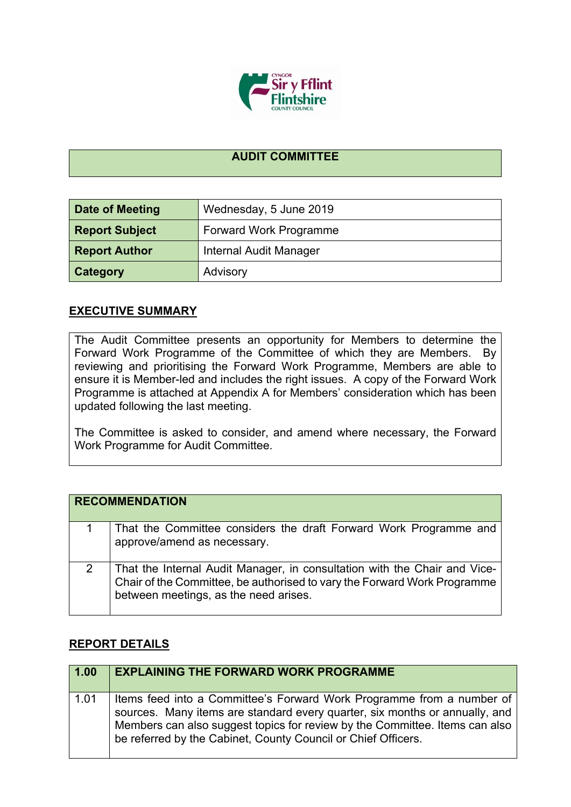

## **AUDIT COMMITTEE**

| Date of Meeting       | Wednesday, 5 June 2019        |  |
|-----------------------|-------------------------------|--|
| <b>Report Subject</b> | Forward Work Programme        |  |
| <b>Report Author</b>  | <b>Internal Audit Manager</b> |  |
| <b>Category</b>       | Advisory                      |  |

## **EXECUTIVE SUMMARY**

The Audit Committee presents an opportunity for Members to determine the Forward Work Programme of the Committee of which they are Members. By reviewing and prioritising the Forward Work Programme, Members are able to ensure it is Member-led and includes the right issues. A copy of the Forward Work Programme is attached at Appendix A for Members' consideration which has been updated following the last meeting.

The Committee is asked to consider, and amend where necessary, the Forward Work Programme for Audit Committee.

|   | <b>RECOMMENDATION</b>                                                                                                                                                                          |
|---|------------------------------------------------------------------------------------------------------------------------------------------------------------------------------------------------|
|   | That the Committee considers the draft Forward Work Programme and<br>approve/amend as necessary.                                                                                               |
| 2 | That the Internal Audit Manager, in consultation with the Chair and Vice-<br>Chair of the Committee, be authorised to vary the Forward Work Programme<br>between meetings, as the need arises. |

## **REPORT DETAILS**

| 1.00 | <b>EXPLAINING THE FORWARD WORK PROGRAMME</b>                                                                                                                                                                                                                                                         |
|------|------------------------------------------------------------------------------------------------------------------------------------------------------------------------------------------------------------------------------------------------------------------------------------------------------|
| 1.01 | Items feed into a Committee's Forward Work Programme from a number of<br>sources. Many items are standard every quarter, six months or annually, and<br>Members can also suggest topics for review by the Committee. Items can also<br>be referred by the Cabinet, County Council or Chief Officers. |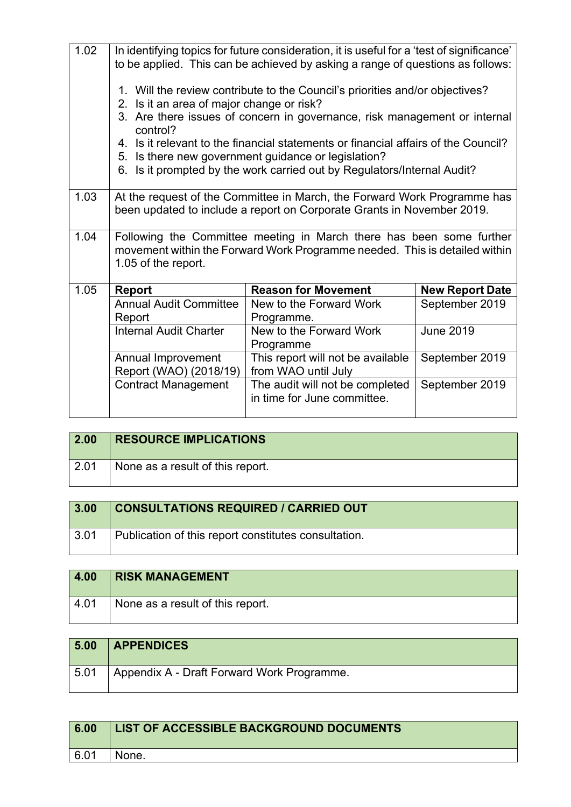| 1.02 |                                              | In identifying topics for future consideration, it is useful for a 'test of significance'<br>to be applied. This can be achieved by asking a range of questions as follows: |                        |
|------|----------------------------------------------|-----------------------------------------------------------------------------------------------------------------------------------------------------------------------------|------------------------|
|      | 2. Is it an area of major change or risk?    | 1. Will the review contribute to the Council's priorities and/or objectives?                                                                                                |                        |
|      | control?                                     | 3. Are there issues of concern in governance, risk management or internal                                                                                                   |                        |
|      |                                              | 4. Is it relevant to the financial statements or financial affairs of the Council?<br>5. Is there new government guidance or legislation?                                   |                        |
|      |                                              | 6. Is it prompted by the work carried out by Regulators/Internal Audit?                                                                                                     |                        |
| 1.03 |                                              | At the request of the Committee in March, the Forward Work Programme has<br>been updated to include a report on Corporate Grants in November 2019.                          |                        |
| 1.04 | 1.05 of the report.                          | Following the Committee meeting in March there has been some further<br>movement within the Forward Work Programme needed. This is detailed within                          |                        |
| 1.05 | <b>Report</b>                                | <b>Reason for Movement</b>                                                                                                                                                  | <b>New Report Date</b> |
|      | <b>Annual Audit Committee</b><br>Report      | New to the Forward Work<br>Programme.                                                                                                                                       | September 2019         |
|      | <b>Internal Audit Charter</b>                | New to the Forward Work<br>Programme                                                                                                                                        | <b>June 2019</b>       |
|      | Annual Improvement<br>Report (WAO) (2018/19) | This report will not be available<br>from WAO until July                                                                                                                    | September 2019         |
|      | <b>Contract Management</b>                   | The audit will not be completed<br>in time for June committee.                                                                                                              | September 2019         |

| 2.00 | <b>RESOURCE IMPLICATIONS</b>     |
|------|----------------------------------|
| 2.01 | None as a result of this report. |

| 3.00 | <b>CONSULTATIONS REQUIRED / CARRIED OUT</b>          |
|------|------------------------------------------------------|
| 3.01 | Publication of this report constitutes consultation. |

| 4.00 | <b>RISK MANAGEMENT</b>           |
|------|----------------------------------|
| 4.01 | None as a result of this report. |

| 5.00 | <b>APPENDICES</b>                          |
|------|--------------------------------------------|
| 5.01 | Appendix A - Draft Forward Work Programme. |

| 6.00 | LIST OF ACCESSIBLE BACKGROUND DOCUMENTS |
|------|-----------------------------------------|
| 6.01 | None.                                   |